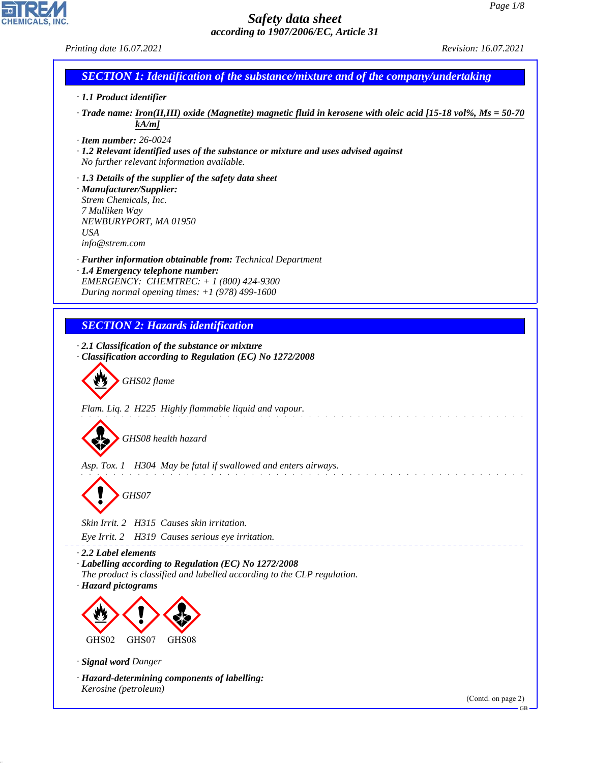*Printing date 16.07.2021 Revision: 16.07.2021*

**CHEMICALS** 

# *SECTION 1: Identification of the substance/mixture and of the company/undertaking · 1.1 Product identifier · Trade name: Iron(II,III) oxide (Magnetite) magnetic fluid in kerosene with oleic acid [15-18 vol%, Ms = 50-70*

*· Item number: 26-0024*

*kA/m]*

*· 1.2 Relevant identified uses of the substance or mixture and uses advised against No further relevant information available.*

*· 1.3 Details of the supplier of the safety data sheet · Manufacturer/Supplier: Strem Chemicals, Inc. 7 Mulliken Way NEWBURYPORT, MA 01950 USA info@strem.com*

*· Further information obtainable from: Technical Department · 1.4 Emergency telephone number: EMERGENCY: CHEMTREC: + 1 (800) 424-9300 During normal opening times: +1 (978) 499-1600*

*SECTION 2: Hazards identification*

*· 2.1 Classification of the substance or mixture · Classification according to Regulation (EC) No 1272/2008*

d~*GHS02 flame*

*Flam. Liq. 2 H225 Highly flammable liquid and vapour.*

d~*GHS08 health hazard*

*Asp. Tox. 1 H304 May be fatal if swallowed and enters airways.*

d~*GHS07*

*Skin Irrit. 2 H315 Causes skin irritation.*

*Eye Irrit. 2 H319 Causes serious eye irritation.*

*· 2.2 Label elements*

*· Labelling according to Regulation (EC) No 1272/2008*

*The product is classified and labelled according to the CLP regulation. · Hazard pictograms*



GHS02 GHS07 GHS08

*· Signal word Danger*

44.1.1

*· Hazard-determining components of labelling: Kerosine (petroleum)*

(Contd. on page 2)

GB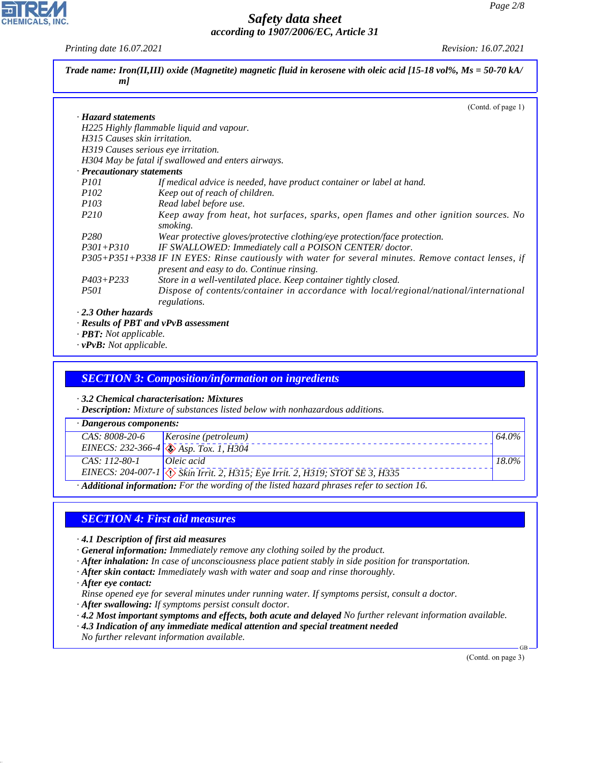*Printing date 16.07.2021 Revision: 16.07.2021*

**CHEMICALS, INC** 

| m                                   | Trade name: Iron(II,III) oxide (Magnetite) magnetic fluid in kerosene with oleic acid [15-18 vol%, $Ms = 50-70 kA$ /                               |
|-------------------------------------|----------------------------------------------------------------------------------------------------------------------------------------------------|
|                                     | (Contd. of page 1)                                                                                                                                 |
| · Hazard statements                 |                                                                                                                                                    |
|                                     | H225 Highly flammable liquid and vapour.                                                                                                           |
| H315 Causes skin irritation.        |                                                                                                                                                    |
|                                     | H319 Causes serious eye irritation.                                                                                                                |
|                                     | H304 May be fatal if swallowed and enters airways.                                                                                                 |
| · Precautionary statements          |                                                                                                                                                    |
| <i>P101</i>                         | If medical advice is needed, have product container or label at hand.                                                                              |
| <i>P102</i>                         | Keep out of reach of children.                                                                                                                     |
| <i>P103</i>                         | Read label before use.                                                                                                                             |
| <i>P210</i>                         | Keep away from heat, hot surfaces, sparks, open flames and other ignition sources. No<br>smoking.                                                  |
| P <sub>280</sub>                    | Wear protective gloves/protective clothing/eye protection/face protection.                                                                         |
| $P301 + P310$                       | IF SWALLOWED: Immediately call a POISON CENTER/doctor.                                                                                             |
|                                     | P305+P351+P338 IF IN EYES: Rinse cautiously with water for several minutes. Remove contact lenses, if<br>present and easy to do. Continue rinsing. |
| $P403 + P233$                       | Store in a well-ventilated place. Keep container tightly closed.                                                                                   |
| <i>P501</i>                         | Dispose of contents/container in accordance with local/regional/national/international<br>regulations.                                             |
| $\cdot$ 2.3 Other hazards           |                                                                                                                                                    |
|                                     | · Results of PBT and vPvB assessment                                                                                                               |
| $\cdot$ <b>PBT:</b> Not applicable. |                                                                                                                                                    |
| $\cdot$ vPvB: Not applicable.       |                                                                                                                                                    |

### *SECTION 3: Composition/information on ingredients*

*· 3.2 Chemical characterisation: Mixtures*

*· Description: Mixture of substances listed below with nonhazardous additions.*

| · Dangerous components:                                                                                  |                                                                                |       |
|----------------------------------------------------------------------------------------------------------|--------------------------------------------------------------------------------|-------|
| CAS: 8008-20-6                                                                                           | Kerosine (petroleum)                                                           | 64.0% |
|                                                                                                          | EINECS: 232-366-4 $\sqrt{\sqrt{3}}$ Asp. Tox. 1, H304                          |       |
| CAS: 112-80-1                                                                                            | $Oleic \; acid$                                                                | 18.0% |
|                                                                                                          | EINECS: 204-007-1 \ \ Skin Irrit. 2, H315; Eye Irrit. 2, H319; STOT SE 3, H335 |       |
| $\cdot$ <b>Additional information:</b> For the wording of the listed hazard phrases refer to section 16. |                                                                                |       |

## *SECTION 4: First aid measures*

- *· 4.1 Description of first aid measures*
- *· General information: Immediately remove any clothing soiled by the product.*
- *· After inhalation: In case of unconsciousness place patient stably in side position for transportation.*
- *· After skin contact: Immediately wash with water and soap and rinse thoroughly.*
- *· After eye contact:*

44.1.1

*Rinse opened eye for several minutes under running water. If symptoms persist, consult a doctor.*

- *· After swallowing: If symptoms persist consult doctor.*
- *· 4.2 Most important symptoms and effects, both acute and delayed No further relevant information available.*
- *· 4.3 Indication of any immediate medical attention and special treatment needed*
- *No further relevant information available.*

(Contd. on page 3)

GB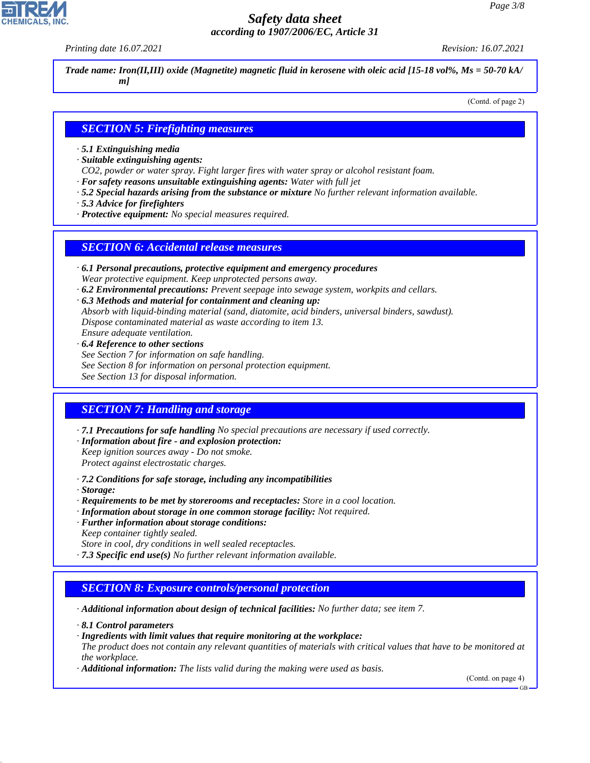*Printing date 16.07.2021 Revision: 16.07.2021*

*Trade name: Iron(II,III) oxide (Magnetite) magnetic fluid in kerosene with oleic acid [15-18 vol%, Ms = 50-70 kA/ m]*

(Contd. of page 2)

## *SECTION 5: Firefighting measures*

- *· 5.1 Extinguishing media*
- *· Suitable extinguishing agents:*
- *CO2, powder or water spray. Fight larger fires with water spray or alcohol resistant foam.*
- *· For safety reasons unsuitable extinguishing agents: Water with full jet*
- *· 5.2 Special hazards arising from the substance or mixture No further relevant information available.*
- *· 5.3 Advice for firefighters*
- *· Protective equipment: No special measures required.*

## *SECTION 6: Accidental release measures*

- *· 6.1 Personal precautions, protective equipment and emergency procedures Wear protective equipment. Keep unprotected persons away.*
- *· 6.2 Environmental precautions: Prevent seepage into sewage system, workpits and cellars.*
- *· 6.3 Methods and material for containment and cleaning up:*
- *Absorb with liquid-binding material (sand, diatomite, acid binders, universal binders, sawdust). Dispose contaminated material as waste according to item 13.*
- *Ensure adequate ventilation.*
- *· 6.4 Reference to other sections*
- *See Section 7 for information on safe handling.*
- *See Section 8 for information on personal protection equipment.*
- *See Section 13 for disposal information.*

## *SECTION 7: Handling and storage*

- *· 7.1 Precautions for safe handling No special precautions are necessary if used correctly.*
- *· Information about fire and explosion protection: Keep ignition sources away - Do not smoke.*
- *Protect against electrostatic charges.*
- *· 7.2 Conditions for safe storage, including any incompatibilities*
- *· Storage:*

44.1.1

- *· Requirements to be met by storerooms and receptacles: Store in a cool location.*
- *· Information about storage in one common storage facility: Not required.*
- *· Further information about storage conditions: Keep container tightly sealed.*
- *Store in cool, dry conditions in well sealed receptacles.*
- *· 7.3 Specific end use(s) No further relevant information available.*

## *SECTION 8: Exposure controls/personal protection*

*· Additional information about design of technical facilities: No further data; see item 7.*

- *· 8.1 Control parameters*
- *· Ingredients with limit values that require monitoring at the workplace:*
- *The product does not contain any relevant quantities of materials with critical values that have to be monitored at the workplace.*
- *· Additional information: The lists valid during the making were used as basis.*

(Contd. on page 4)

GB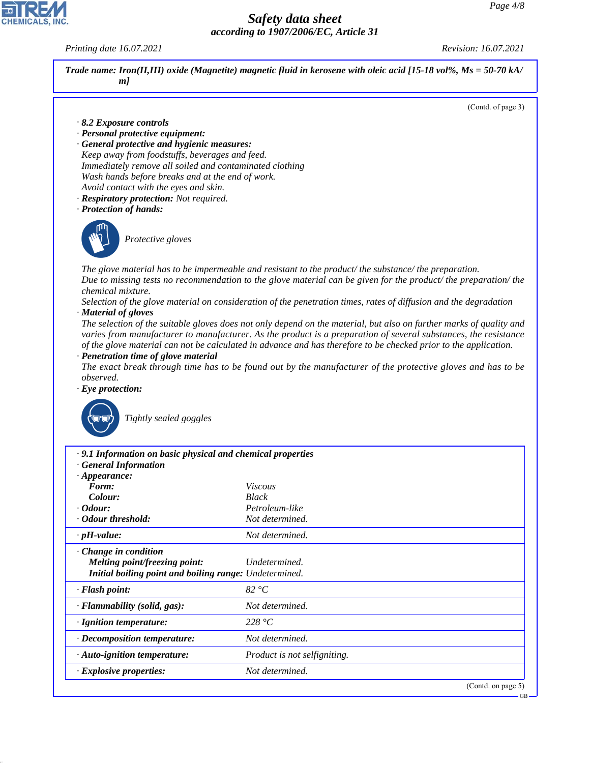*Printing date 16.07.2021 Revision: 16.07.2021*



- *· General protective and hygienic measures: Keep away from foodstuffs, beverages and feed. Immediately remove all soiled and contaminated clothing Wash hands before breaks and at the end of work. Avoid contact with the eyes and skin.*
- *· Respiratory protection: Not required.*
- *· Protection of hands:*



\_S*Protective gloves*

*The glove material has to be impermeable and resistant to the product/ the substance/ the preparation. Due to missing tests no recommendation to the glove material can be given for the product/ the preparation/ the chemical mixture.*

*Selection of the glove material on consideration of the penetration times, rates of diffusion and the degradation · Material of gloves*

*The selection of the suitable gloves does not only depend on the material, but also on further marks of quality and varies from manufacturer to manufacturer. As the product is a preparation of several substances, the resistance of the glove material can not be calculated in advance and has therefore to be checked prior to the application.*

*· Penetration time of glove material*

*The exact break through time has to be found out by the manufacturer of the protective gloves and has to be observed.*

*· Eye protection:*



44.1.1

\_R*Tightly sealed goggles*

| .9.1 Information on basic physical and chemical properties                                                             |                              |                               |
|------------------------------------------------------------------------------------------------------------------------|------------------------------|-------------------------------|
| <b>General Information</b><br>$\cdot$ Appearance:                                                                      |                              |                               |
| Form:                                                                                                                  | <i>Viscous</i>               |                               |
| Colour:                                                                                                                | <b>Black</b>                 |                               |
| $\cdot$ Odour:                                                                                                         | Petroleum-like               |                               |
| · Odour threshold:                                                                                                     | Not determined.              |                               |
| $\cdot$ pH-value:                                                                                                      | Not determined.              |                               |
| $\cdot$ Change in condition<br>Melting point/freezing point:<br>Initial boiling point and boiling range: Undetermined. | Undetermined.                |                               |
| $\cdot$ Flash point:                                                                                                   | 82 °C                        |                               |
| · Flammability (solid, gas):                                                                                           | Not determined.              |                               |
| · Ignition temperature:                                                                                                | 228 °C                       |                               |
| · Decomposition temperature:                                                                                           | Not determined.              |                               |
| $\cdot$ Auto-ignition temperature:                                                                                     | Product is not selfigniting. |                               |
| $\cdot$ Explosive properties:                                                                                          | Not determined.              |                               |
|                                                                                                                        |                              | (Contd. on page 5)<br>$-$ GR. |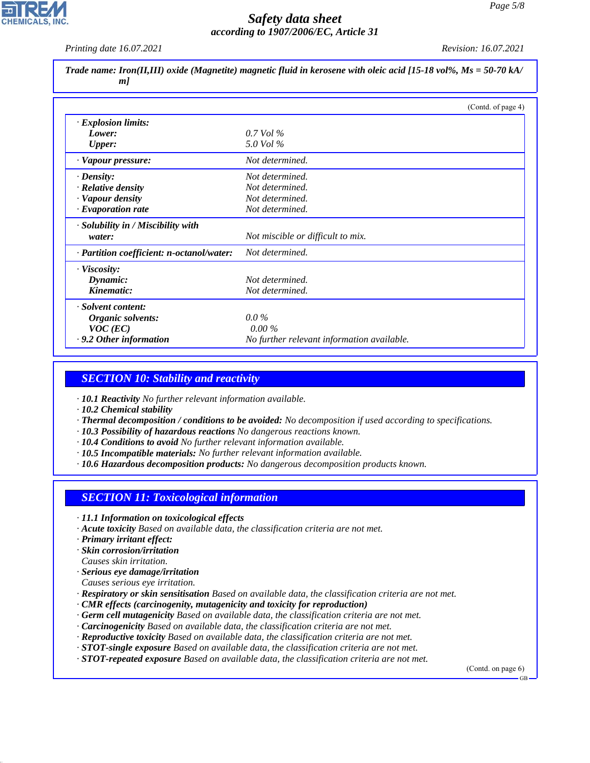*Printing date 16.07.2021 Revision: 16.07.2021*

| Trade name: Iron(II,III) oxide (Magnetite) magnetic fluid in kerosene with oleic acid [15-18 vol%, $Ms = 50-70$ kA/<br>m/ |                                            |  |
|---------------------------------------------------------------------------------------------------------------------------|--------------------------------------------|--|
|                                                                                                                           | (Contd. of page 4)                         |  |
| · Explosion limits:                                                                                                       |                                            |  |
| Lower:                                                                                                                    | $0.7$ Vol $\%$                             |  |
| <b>Upper:</b>                                                                                                             | 5.0 Vol %                                  |  |
| · Vapour pressure:                                                                                                        | Not determined.                            |  |
| $\cdot$ Density:                                                                                                          | Not determined.                            |  |
| · Relative density                                                                                                        | Not determined.                            |  |
| · Vapour density                                                                                                          | Not determined.                            |  |
| $\cdot$ Evaporation rate                                                                                                  | Not determined.                            |  |
| · Solubility in / Miscibility with                                                                                        |                                            |  |
| water:                                                                                                                    | Not miscible or difficult to mix.          |  |
| · Partition coefficient: n-octanol/water:                                                                                 | Not determined.                            |  |
| $\cdot$ Viscosity:                                                                                                        |                                            |  |
| Dynamic:                                                                                                                  | Not determined.                            |  |
| Kinematic:                                                                                                                | Not determined.                            |  |
| · Solvent content:                                                                                                        |                                            |  |
| Organic solvents:                                                                                                         | $0.0\%$                                    |  |
| $VOC$ (EC)                                                                                                                | $0.00\%$                                   |  |
| $\cdot$ 9.2 Other information                                                                                             | No further relevant information available. |  |

#### *SECTION 10: Stability and reactivity*

*· 10.1 Reactivity No further relevant information available.*

- *· 10.2 Chemical stability*
- *· Thermal decomposition / conditions to be avoided: No decomposition if used according to specifications.*
- *· 10.3 Possibility of hazardous reactions No dangerous reactions known.*
- *· 10.4 Conditions to avoid No further relevant information available.*
- *· 10.5 Incompatible materials: No further relevant information available.*
- *· 10.6 Hazardous decomposition products: No dangerous decomposition products known.*

#### *SECTION 11: Toxicological information*

- *· 11.1 Information on toxicological effects*
- *· Acute toxicity Based on available data, the classification criteria are not met.*
- *· Primary irritant effect:*

44.1.1

- *· Skin corrosion/irritation*
- *Causes skin irritation.*
- *· Serious eye damage/irritation*
- *Causes serious eye irritation.*
- *· Respiratory or skin sensitisation Based on available data, the classification criteria are not met.*
- *· CMR effects (carcinogenity, mutagenicity and toxicity for reproduction)*
- *· Germ cell mutagenicity Based on available data, the classification criteria are not met.*
- *· Carcinogenicity Based on available data, the classification criteria are not met.*
- *· Reproductive toxicity Based on available data, the classification criteria are not met.*
- *· STOT-single exposure Based on available data, the classification criteria are not met.*
- *· STOT-repeated exposure Based on available data, the classification criteria are not met.*

(Contd. on page 6)

GB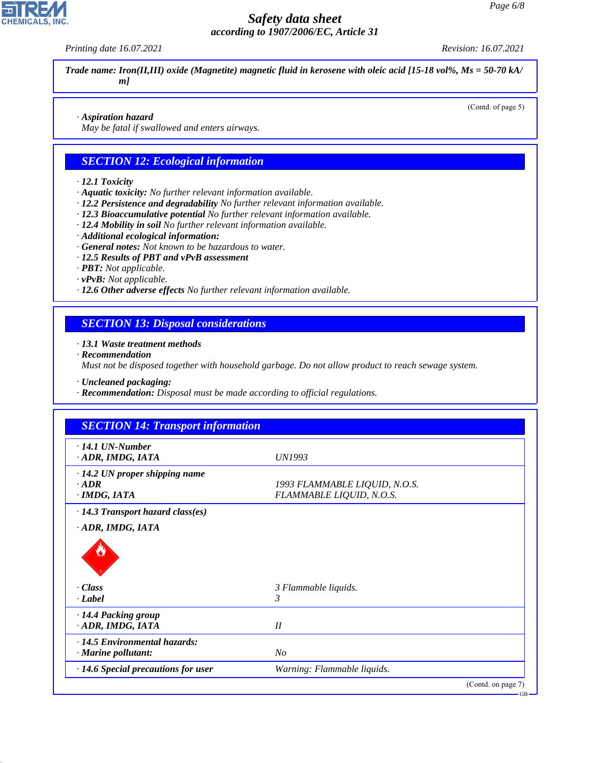*Printing date 16.07.2021 Revision: 16.07.2021*

**CHEMICALS, INC** 

(Contd. of page 5)

*Trade name: Iron(II,III) oxide (Magnetite) magnetic fluid in kerosene with oleic acid [15-18 vol%, Ms = 50-70 kA/ m]*

#### *· Aspiration hazard*

*May be fatal if swallowed and enters airways.*

## *SECTION 12: Ecological information*

#### *· 12.1 Toxicity*

- *· Aquatic toxicity: No further relevant information available.*
- *· 12.2 Persistence and degradability No further relevant information available.*
- *· 12.3 Bioaccumulative potential No further relevant information available.*
- *· 12.4 Mobility in soil No further relevant information available.*
- *· Additional ecological information:*
- *· General notes: Not known to be hazardous to water.*
- *· 12.5 Results of PBT and vPvB assessment*
- *· PBT: Not applicable.*
- *· vPvB: Not applicable.*
- *· 12.6 Other adverse effects No further relevant information available.*

## *SECTION 13: Disposal considerations*

#### *· 13.1 Waste treatment methods*

*· Recommendation*

44.1.1

*Must not be disposed together with household garbage. Do not allow product to reach sewage system.*

*· Uncleaned packaging:*

*· Recommendation: Disposal must be made according to official regulations.*

| <b>SECTION 14: Transport information</b>                      |                                                           |                    |
|---------------------------------------------------------------|-----------------------------------------------------------|--------------------|
| $\cdot$ 14.1 UN-Number<br>ADR, IMDG, IATA                     | UN1993                                                    |                    |
| · 14.2 UN proper shipping name<br>$\cdot$ ADR<br>· IMDG, IATA | 1993 FLAMMABLE LIQUID, N.O.S.<br>FLAMMABLE LIQUID, N.O.S. |                    |
| $\cdot$ 14.3 Transport hazard class(es)                       |                                                           |                    |
| ADR, IMDG, IATA                                               |                                                           |                    |
| · Class<br>· Label                                            | 3 Flammable liquids.<br>3                                 |                    |
| · 14.4 Packing group<br>ADR, IMDG, IATA                       | II                                                        |                    |
| · 14.5 Environmental hazards:                                 |                                                           |                    |
| $\cdot$ Marine pollutant:                                     | $N_{O}$                                                   |                    |
| $\cdot$ 14.6 Special precautions for user                     | Warning: Flammable liquids.                               |                    |
|                                                               |                                                           | (Contd. on page 7) |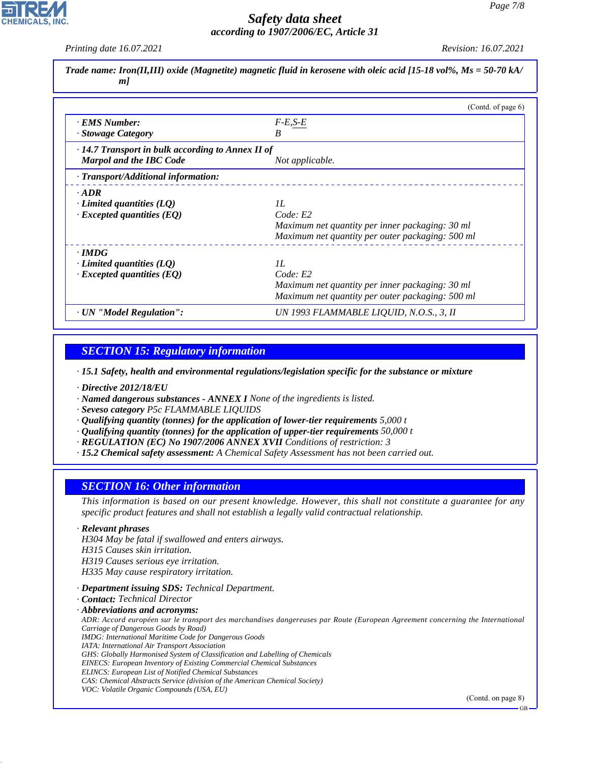*Printing date 16.07.2021 Revision: 16.07.2021*

|    | Trade name: Iron(II,III) oxide (Magnetite) magnetic fluid in kerosene with oleic acid [15-18 vol%, Ms = 50-70 kA/ |  |
|----|-------------------------------------------------------------------------------------------------------------------|--|
| ml |                                                                                                                   |  |

|                                                         | (Contd. of page 6)                               |
|---------------------------------------------------------|--------------------------------------------------|
| <b>EMS</b> Number:                                      | $F-E,S-E$                                        |
| · Stowage Category                                      | B                                                |
| $\cdot$ 14.7 Transport in bulk according to Annex II of |                                                  |
| <b>Marpol and the IBC Code</b>                          | Not applicable.                                  |
| · Transport/Additional information:                     |                                                  |
| $.$ ADR                                                 |                                                  |
| $\cdot$ Limited quantities (LQ)                         | II.                                              |
| $\cdot$ Excepted quantities (EQ)                        | Code: E2                                         |
|                                                         | Maximum net quantity per inner packaging: 30 ml  |
|                                                         | Maximum net quantity per outer packaging: 500 ml |
| $\cdot$ IMDG                                            |                                                  |
| Limited quantities (LO)                                 | II.                                              |
| $\cdot$ Excepted quantities (EQ)                        | Code: E2                                         |
|                                                         | Maximum net quantity per inner packaging: 30 ml  |
|                                                         | Maximum net quantity per outer packaging: 500 ml |
| · UN "Model Regulation":                                | UN 1993 FLAMMABLE LIQUID, N.O.S., 3, II          |

## *SECTION 15: Regulatory information*

*· 15.1 Safety, health and environmental regulations/legislation specific for the substance or mixture*

*· Directive 2012/18/EU*

*· Named dangerous substances - ANNEX I None of the ingredients is listed.*

- *· Seveso category P5c FLAMMABLE LIQUIDS*
- *· Qualifying quantity (tonnes) for the application of lower-tier requirements 5,000 t*
- *· Qualifying quantity (tonnes) for the application of upper-tier requirements 50,000 t*
- *· REGULATION (EC) No 1907/2006 ANNEX XVII Conditions of restriction: 3*
- *· 15.2 Chemical safety assessment: A Chemical Safety Assessment has not been carried out.*

## *SECTION 16: Other information*

*This information is based on our present knowledge. However, this shall not constitute a guarantee for any specific product features and shall not establish a legally valid contractual relationship.*

#### *· Relevant phrases*

44.1.1

*H304 May be fatal if swallowed and enters airways.*

*H315 Causes skin irritation.*

*H319 Causes serious eye irritation.*

*H335 May cause respiratory irritation.*

- *· Department issuing SDS: Technical Department.*
- *· Contact: Technical Director*

#### *· Abbreviations and acronyms:*

*ADR: Accord européen sur le transport des marchandises dangereuses par Route (European Agreement concerning the International Carriage of Dangerous Goods by Road)*

*IMDG: International Maritime Code for Dangerous Goods*

*IATA: International Air Transport Association*

*GHS: Globally Harmonised System of Classification and Labelling of Chemicals EINECS: European Inventory of Existing Commercial Chemical Substances*

- *ELINCS: European List of Notified Chemical Substances*
- *CAS: Chemical Abstracts Service (division of the American Chemical Society)*
- *VOC: Volatile Organic Compounds (USA, EU)*

(Contd. on page 8)

GB